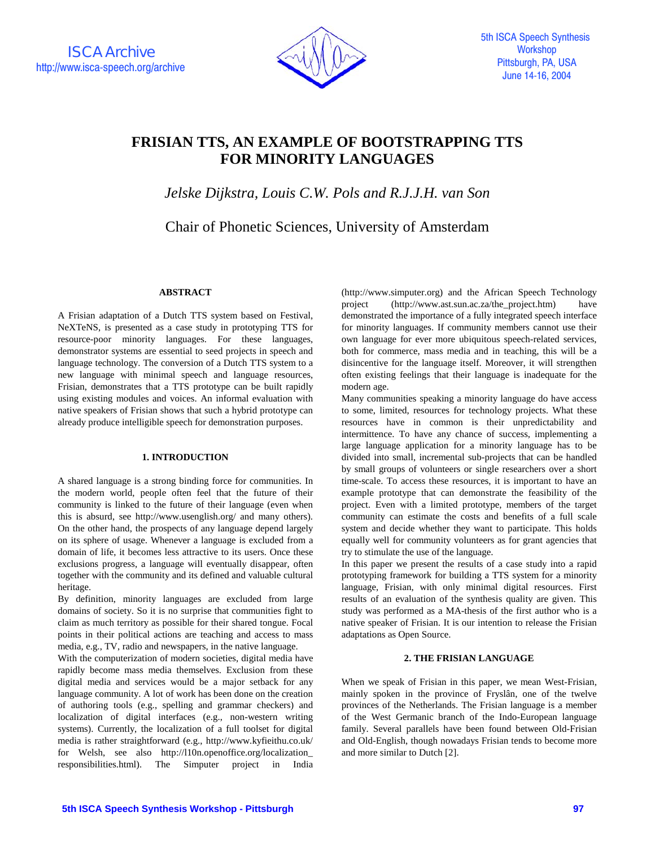

# **FRISIAN TTS, AN EXAMPLE OF BOOTSTRAPPING TTS FOR MINORITY LANGUAGES**

*Jelske Dijkstra, Louis C.W. Pols and R.J.J.H. van Son* 

Chair of Phonetic Sciences, University of Amsterdam

# **ABSTRACT**

A Frisian adaptation of a Dutch TTS system based on Festival, NeXTeNS, is presented as a case study in prototyping TTS for resource-poor minority languages. For these languages, demonstrator systems are essential to seed projects in speech and language technology. The conversion of a Dutch TTS system to a new language with minimal speech and language resources, Frisian, demonstrates that a TTS prototype can be built rapidly using existing modules and voices. An informal evaluation with native speakers of Frisian shows that such a hybrid prototype can already produce intelligible speech for demonstration purposes.

# **1. INTRODUCTION**

A shared language is a strong binding force for communities. In the modern world, people often feel that the future of their community is linked to the future of their language (even when this is absurd, see http://www.usenglish.org/ and many others). On the other hand, the prospects of any language depend largely on its sphere of usage. Whenever a language is excluded from a domain of life, it becomes less attractive to its users. Once these exclusions progress, a language will eventually disappear, often together with the community and its defined and valuable cultural heritage.

By definition, minority languages are excluded from large domains of society. So it is no surprise that communities fight to claim as much territory as possible for their shared tongue. Focal points in their political actions are teaching and access to mass media, e.g., TV, radio and newspapers, in the native language.

With the computerization of modern societies, digital media have rapidly become mass media themselves. Exclusion from these digital media and services would be a major setback for any language community. A lot of work has been done on the creation of authoring tools (e.g., spelling and grammar checkers) and localization of digital interfaces (e.g., non-western writing systems). Currently, the localization of a full toolset for digital media is rather straightforward (e.g., http://www.kyfieithu.co.uk/ for Welsh, see also http://l10n.openoffice.org/localization\_ responsibilities.html). The Simputer project in India (http://www.simputer.org) and the African Speech Technology project (http://www.ast.sun.ac.za/the\_project.htm) have demonstrated the importance of a fully integrated speech interface for minority languages. If community members cannot use their own language for ever more ubiquitous speech-related services, both for commerce, mass media and in teaching, this will be a disincentive for the language itself. Moreover, it will strengthen often existing feelings that their language is inadequate for the modern age.

Many communities speaking a minority language do have access to some, limited, resources for technology projects. What these resources have in common is their unpredictability and intermittence. To have any chance of success, implementing a large language application for a minority language has to be divided into small, incremental sub-projects that can be handled by small groups of volunteers or single researchers over a short time-scale. To access these resources, it is important to have an example prototype that can demonstrate the feasibility of the project. Even with a limited prototype, members of the target community can estimate the costs and benefits of a full scale system and decide whether they want to participate. This holds equally well for community volunteers as for grant agencies that try to stimulate the use of the language.

In this paper we present the results of a case study into a rapid prototyping framework for building a TTS system for a minority language, Frisian, with only minimal digital resources. First results of an evaluation of the synthesis quality are given. This study was performed as a MA-thesis of the first author who is a native speaker of Frisian. It is our intention to release the Frisian adaptations as Open Source.

## **2. THE FRISIAN LANGUAGE**

When we speak of Frisian in this paper, we mean West-Frisian, mainly spoken in the province of Fryslân, one of the twelve provinces of the Netherlands. The Frisian language is a member of the West Germanic branch of the Indo-European language family. Several parallels have been found between Old-Frisian and Old-English, though nowadays Frisian tends to become more and more similar to Dutch [2].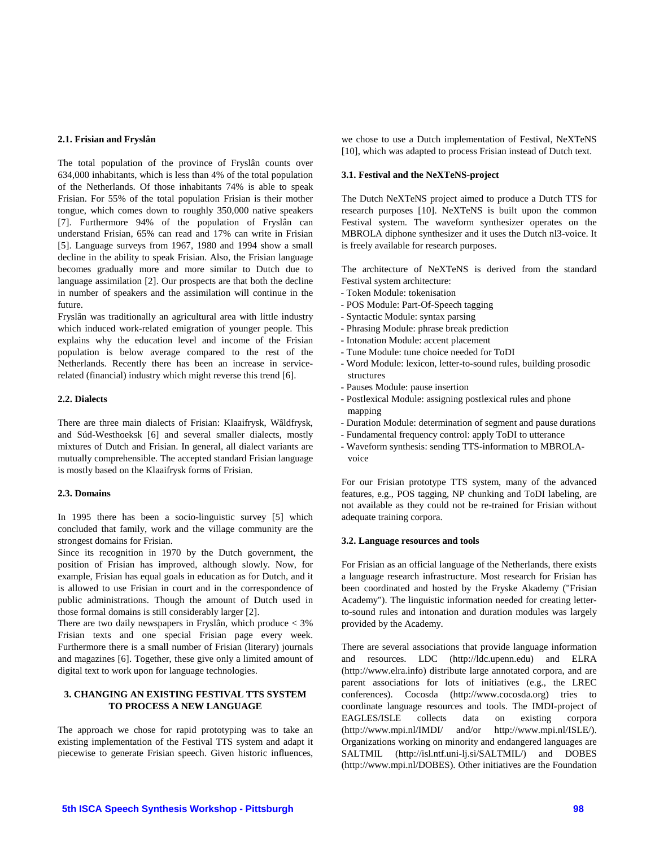# **2.1. Frisian and Fryslân**

The total population of the province of Fryslân counts over 634,000 inhabitants, which is less than 4% of the total population of the Netherlands. Of those inhabitants 74% is able to speak Frisian. For 55% of the total population Frisian is their mother tongue, which comes down to roughly 350,000 native speakers [7]. Furthermore 94% of the population of Fryslân can understand Frisian, 65% can read and 17% can write in Frisian [5]. Language surveys from 1967, 1980 and 1994 show a small decline in the ability to speak Frisian. Also, the Frisian language becomes gradually more and more similar to Dutch due to language assimilation [2]. Our prospects are that both the decline in number of speakers and the assimilation will continue in the future.

Fryslân was traditionally an agricultural area with little industry which induced work-related emigration of younger people. This explains why the education level and income of the Frisian population is below average compared to the rest of the Netherlands. Recently there has been an increase in servicerelated (financial) industry which might reverse this trend [6].

#### **2.2. Dialects**

There are three main dialects of Frisian: Klaaifrysk, Wâldfrysk, and Súd-Westhoeksk [6] and several smaller dialects, mostly mixtures of Dutch and Frisian. In general, all dialect variants are mutually comprehensible. The accepted standard Frisian language is mostly based on the Klaaifrysk forms of Frisian.

#### **2.3. Domains**

In 1995 there has been a socio-linguistic survey [5] which concluded that family, work and the village community are the strongest domains for Frisian.

Since its recognition in 1970 by the Dutch government, the position of Frisian has improved, although slowly. Now, for example, Frisian has equal goals in education as for Dutch, and it is allowed to use Frisian in court and in the correspondence of public administrations. Though the amount of Dutch used in those formal domains is still considerably larger [2].

There are two daily newspapers in Fryslân, which produce < 3% Frisian texts and one special Frisian page every week. Furthermore there is a small number of Frisian (literary) journals and magazines [6]. Together, these give only a limited amount of digital text to work upon for language technologies.

# **3. CHANGING AN EXISTING FESTIVAL TTS SYSTEM TO PROCESS A NEW LANGUAGE**

The approach we chose for rapid prototyping was to take an existing implementation of the Festival TTS system and adapt it piecewise to generate Frisian speech. Given historic influences, we chose to use a Dutch implementation of Festival, NeXTeNS [10], which was adapted to process Frisian instead of Dutch text.

# **3.1. Festival and the NeXTeNS-project**

The Dutch NeXTeNS project aimed to produce a Dutch TTS for research purposes [10]. NeXTeNS is built upon the common Festival system. The waveform synthesizer operates on the MBROLA diphone synthesizer and it uses the Dutch nl3-voice. It is freely available for research purposes.

The architecture of NeXTeNS is derived from the standard Festival system architecture:

- Token Module: tokenisation
- POS Module: Part-Of-Speech tagging
- Syntactic Module: syntax parsing
- Phrasing Module: phrase break prediction
- Intonation Module: accent placement
- Tune Module: tune choice needed for ToDI
- Word Module: lexicon, letter-to-sound rules, building prosodic structures
- Pauses Module: pause insertion
- Postlexical Module: assigning postlexical rules and phone mapping
- Duration Module: determination of segment and pause durations
- Fundamental frequency control: apply ToDI to utterance
- Waveform synthesis: sending TTS-information to MBROLAvoice

For our Frisian prototype TTS system, many of the advanced features, e.g., POS tagging, NP chunking and ToDI labeling, are not available as they could not be re-trained for Frisian without adequate training corpora.

## **3.2. Language resources and tools**

For Frisian as an official language of the Netherlands, there exists a language research infrastructure. Most research for Frisian has been coordinated and hosted by the Fryske Akademy ("Frisian Academy"). The linguistic information needed for creating letterto-sound rules and intonation and duration modules was largely provided by the Academy.

There are several associations that provide language information and resources. LDC (http://ldc.upenn.edu) and ELRA (http://www.elra.info) distribute large annotated corpora, and are parent associations for lots of initiatives (e.g., the LREC conferences). Cocosda (http://www.cocosda.org) tries to coordinate language resources and tools. The IMDI-project of EAGLES/ISLE collects data on existing corpora (http://www.mpi.nl/IMDI/ and/or http://www.mpi.nl/ISLE/). Organizations working on minority and endangered languages are SALTMIL (http://isl.ntf.uni-lj.si/SALTMIL/) and DOBES (http://www.mpi.nl/DOBES). Other initiatives are the Foundation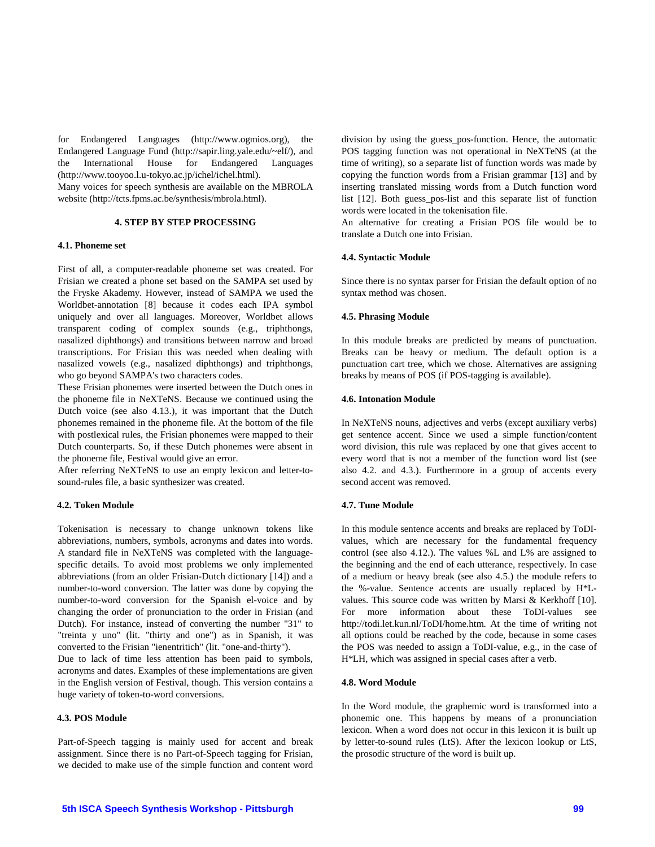for Endangered Languages (http://www.ogmios.org), the Endangered Language Fund (http://sapir.ling.yale.edu/~elf/), and the International House for Endangered Languages (http://www.tooyoo.l.u-tokyo.ac.jp/ichel/ichel.html).

Many voices for speech synthesis are available on the MBROLA website (http://tcts.fpms.ac.be/synthesis/mbrola.html).

#### **4. STEP BY STEP PROCESSING**

### **4.1. Phoneme set**

First of all, a computer-readable phoneme set was created. For Frisian we created a phone set based on the SAMPA set used by the Fryske Akademy. However, instead of SAMPA we used the Worldbet-annotation [8] because it codes each IPA symbol uniquely and over all languages. Moreover, Worldbet allows transparent coding of complex sounds (e.g., triphthongs, nasalized diphthongs) and transitions between narrow and broad transcriptions. For Frisian this was needed when dealing with nasalized vowels (e.g., nasalized diphthongs) and triphthongs, who go beyond SAMPA's two characters codes.

These Frisian phonemes were inserted between the Dutch ones in the phoneme file in NeXTeNS. Because we continued using the Dutch voice (see also 4.13.), it was important that the Dutch phonemes remained in the phoneme file. At the bottom of the file with postlexical rules, the Frisian phonemes were mapped to their Dutch counterparts. So, if these Dutch phonemes were absent in the phoneme file, Festival would give an error.

After referring NeXTeNS to use an empty lexicon and letter-tosound-rules file, a basic synthesizer was created.

# **4.2. Token Module**

Tokenisation is necessary to change unknown tokens like abbreviations, numbers, symbols, acronyms and dates into words. A standard file in NeXTeNS was completed with the languagespecific details. To avoid most problems we only implemented abbreviations (from an older Frisian-Dutch dictionary [14]) and a number-to-word conversion. The latter was done by copying the number-to-word conversion for the Spanish el-voice and by changing the order of pronunciation to the order in Frisian (and Dutch). For instance, instead of converting the number "31" to "treinta y uno" (lit. "thirty and one") as in Spanish, it was converted to the Frisian "ienentritich" (lit. "one-and-thirty").

Due to lack of time less attention has been paid to symbols, acronyms and dates. Examples of these implementations are given in the English version of Festival, though. This version contains a huge variety of token-to-word conversions.

# **4.3. POS Module**

Part-of-Speech tagging is mainly used for accent and break assignment. Since there is no Part-of-Speech tagging for Frisian, we decided to make use of the simple function and content word division by using the guess\_pos-function. Hence, the automatic POS tagging function was not operational in NeXTeNS (at the time of writing), so a separate list of function words was made by copying the function words from a Frisian grammar [13] and by inserting translated missing words from a Dutch function word list [12]. Both guess\_pos-list and this separate list of function words were located in the tokenisation file.

An alternative for creating a Frisian POS file would be to translate a Dutch one into Frisian.

## **4.4. Syntactic Module**

Since there is no syntax parser for Frisian the default option of no syntax method was chosen.

#### **4.5. Phrasing Module**

In this module breaks are predicted by means of punctuation. Breaks can be heavy or medium. The default option is a punctuation cart tree, which we chose. Alternatives are assigning breaks by means of POS (if POS-tagging is available).

#### **4.6. Intonation Module**

In NeXTeNS nouns, adjectives and verbs (except auxiliary verbs) get sentence accent. Since we used a simple function/content word division, this rule was replaced by one that gives accent to every word that is not a member of the function word list (see also 4.2. and 4.3.). Furthermore in a group of accents every second accent was removed.

#### **4.7. Tune Module**

In this module sentence accents and breaks are replaced by ToDIvalues, which are necessary for the fundamental frequency control (see also 4.12.). The values %L and L% are assigned to the beginning and the end of each utterance, respectively. In case of a medium or heavy break (see also 4.5.) the module refers to the %-value. Sentence accents are usually replaced by H\*Lvalues. This source code was written by Marsi & Kerkhoff [10]. For more information about these ToDI-values see http://todi.let.kun.nl/ToDI/home.htm. At the time of writing not all options could be reached by the code, because in some cases the POS was needed to assign a ToDI-value, e.g., in the case of H\*LH, which was assigned in special cases after a verb.

#### **4.8. Word Module**

In the Word module, the graphemic word is transformed into a phonemic one. This happens by means of a pronunciation lexicon. When a word does not occur in this lexicon it is built up by letter-to-sound rules (LtS). After the lexicon lookup or LtS, the prosodic structure of the word is built up.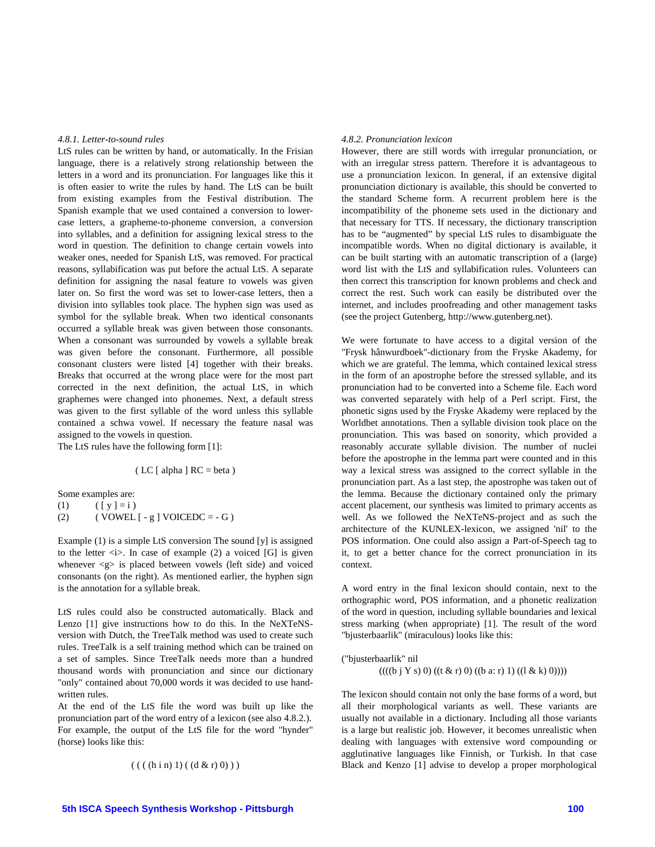#### *4.8.1. Letter-to-sound rules*

LtS rules can be written by hand, or automatically. In the Frisian language, there is a relatively strong relationship between the letters in a word and its pronunciation. For languages like this it is often easier to write the rules by hand. The LtS can be built from existing examples from the Festival distribution. The Spanish example that we used contained a conversion to lowercase letters, a grapheme-to-phoneme conversion, a conversion into syllables, and a definition for assigning lexical stress to the word in question. The definition to change certain vowels into weaker ones, needed for Spanish LtS, was removed. For practical reasons, syllabification was put before the actual LtS. A separate definition for assigning the nasal feature to vowels was given later on. So first the word was set to lower-case letters, then a division into syllables took place. The hyphen sign was used as symbol for the syllable break. When two identical consonants occurred a syllable break was given between those consonants. When a consonant was surrounded by vowels a syllable break was given before the consonant. Furthermore, all possible consonant clusters were listed [4] together with their breaks. Breaks that occurred at the wrong place were for the most part corrected in the next definition, the actual LtS, in which graphemes were changed into phonemes. Next, a default stress was given to the first syllable of the word unless this syllable contained a schwa vowel. If necessary the feature nasal was assigned to the vowels in question.

The LtS rules have the following form [1]:

$$
(LC [alpha] RC = beta)
$$

Some examples are:

(1)  $([y] = i)$ (2) (  $VOWEL [- g ] VOICEDC = - G$  )

Example (1) is a simple LtS conversion The sound [y] is assigned to the letter  $\langle i \rangle$ . In case of example (2) a voiced [G] is given whenever  $\langle g \rangle$  is placed between vowels (left side) and voiced consonants (on the right). As mentioned earlier, the hyphen sign is the annotation for a syllable break.

LtS rules could also be constructed automatically. Black and Lenzo [1] give instructions how to do this. In the NeXTeNSversion with Dutch, the TreeTalk method was used to create such rules. TreeTalk is a self training method which can be trained on a set of samples. Since TreeTalk needs more than a hundred thousand words with pronunciation and since our dictionary "only" contained about 70,000 words it was decided to use handwritten rules.

At the end of the LtS file the word was built up like the pronunciation part of the word entry of a lexicon (see also 4.8.2.). For example, the output of the LtS file for the word "hynder" (horse) looks like this:

( ( ( (h i n) 1) ( (d & r) 0) ) )

#### *4.8.2. Pronunciation lexicon*

However, there are still words with irregular pronunciation, or with an irregular stress pattern. Therefore it is advantageous to use a pronunciation lexicon. In general, if an extensive digital pronunciation dictionary is available, this should be converted to the standard Scheme form. A recurrent problem here is the incompatibility of the phoneme sets used in the dictionary and that necessary for TTS. If necessary, the dictionary transcription has to be "augmented" by special LtS rules to disambiguate the incompatible words. When no digital dictionary is available, it can be built starting with an automatic transcription of a (large) word list with the LtS and syllabification rules. Volunteers can then correct this transcription for known problems and check and correct the rest. Such work can easily be distributed over the internet, and includes proofreading and other management tasks (see the project Gutenberg, http://www.gutenberg.net).

We were fortunate to have access to a digital version of the "Frysk hânwurdboek"-dictionary from the Fryske Akademy, for which we are grateful. The lemma, which contained lexical stress in the form of an apostrophe before the stressed syllable, and its pronunciation had to be converted into a Scheme file. Each word was converted separately with help of a Perl script. First, the phonetic signs used by the Fryske Akademy were replaced by the Worldbet annotations. Then a syllable division took place on the pronunciation. This was based on sonority, which provided a reasonably accurate syllable division. The number of nuclei before the apostrophe in the lemma part were counted and in this way a lexical stress was assigned to the correct syllable in the pronunciation part. As a last step, the apostrophe was taken out of the lemma. Because the dictionary contained only the primary accent placement, our synthesis was limited to primary accents as well. As we followed the NeXTeNS-project and as such the architecture of the KUNLEX-lexicon, we assigned 'nil' to the POS information. One could also assign a Part-of-Speech tag to it, to get a better chance for the correct pronunciation in its context.

A word entry in the final lexicon should contain, next to the orthographic word, POS information, and a phonetic realization of the word in question, including syllable boundaries and lexical stress marking (when appropriate) [1]. The result of the word "bjusterbaarlik" (miraculous) looks like this:

("bjusterbaarlik" nil  $((( (b i Y s) 0) ((t & r) 0) ((b a: r) 1) ((l & k) 0))))$ 

The lexicon should contain not only the base forms of a word, but all their morphological variants as well. These variants are usually not available in a dictionary. Including all those variants is a large but realistic job. However, it becomes unrealistic when dealing with languages with extensive word compounding or agglutinative languages like Finnish, or Turkish. In that case Black and Kenzo [1] advise to develop a proper morphological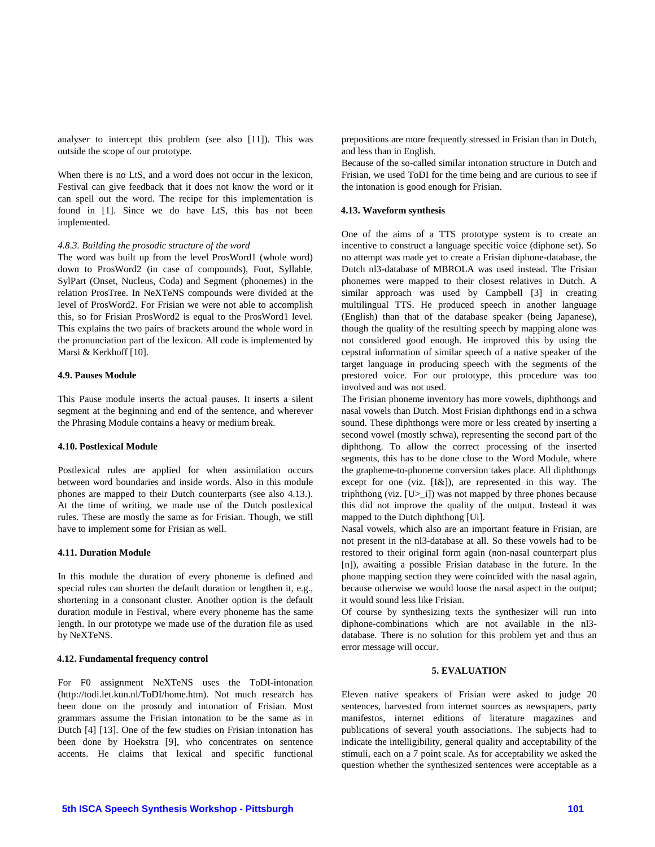analyser to intercept this problem (see also [11]). This was outside the scope of our prototype.

When there is no LtS, and a word does not occur in the lexicon, Festival can give feedback that it does not know the word or it can spell out the word. The recipe for this implementation is found in [1]. Since we do have LtS, this has not been implemented.

# *4.8.3. Building the prosodic structure of the word*

The word was built up from the level ProsWord1 (whole word) down to ProsWord2 (in case of compounds), Foot, Syllable, SylPart (Onset, Nucleus, Coda) and Segment (phonemes) in the relation ProsTree. In NeXTeNS compounds were divided at the level of ProsWord2. For Frisian we were not able to accomplish this, so for Frisian ProsWord2 is equal to the ProsWord1 level. This explains the two pairs of brackets around the whole word in the pronunciation part of the lexicon. All code is implemented by Marsi & Kerkhoff [10].

## **4.9. Pauses Module**

This Pause module inserts the actual pauses. It inserts a silent segment at the beginning and end of the sentence, and wherever the Phrasing Module contains a heavy or medium break.

## **4.10. Postlexical Module**

Postlexical rules are applied for when assimilation occurs between word boundaries and inside words. Also in this module phones are mapped to their Dutch counterparts (see also 4.13.). At the time of writing, we made use of the Dutch postlexical rules. These are mostly the same as for Frisian. Though, we still have to implement some for Frisian as well.

#### **4.11. Duration Module**

In this module the duration of every phoneme is defined and special rules can shorten the default duration or lengthen it, e.g., shortening in a consonant cluster. Another option is the default duration module in Festival, where every phoneme has the same length. In our prototype we made use of the duration file as used by NeXTeNS.

## **4.12. Fundamental frequency control**

For F0 assignment NeXTeNS uses the ToDI-intonation (http://todi.let.kun.nl/ToDI/home.htm). Not much research has been done on the prosody and intonation of Frisian. Most grammars assume the Frisian intonation to be the same as in Dutch [4] [13]. One of the few studies on Frisian intonation has been done by Hoekstra [9], who concentrates on sentence accents. He claims that lexical and specific functional prepositions are more frequently stressed in Frisian than in Dutch, and less than in English.

Because of the so-called similar intonation structure in Dutch and Frisian, we used ToDI for the time being and are curious to see if the intonation is good enough for Frisian.

## **4.13. Waveform synthesis**

One of the aims of a TTS prototype system is to create an incentive to construct a language specific voice (diphone set). So no attempt was made yet to create a Frisian diphone-database, the Dutch nl3-database of MBROLA was used instead. The Frisian phonemes were mapped to their closest relatives in Dutch. A similar approach was used by Campbell [3] in creating multilingual TTS. He produced speech in another language (English) than that of the database speaker (being Japanese), though the quality of the resulting speech by mapping alone was not considered good enough. He improved this by using the cepstral information of similar speech of a native speaker of the target language in producing speech with the segments of the prestored voice. For our prototype, this procedure was too involved and was not used.

The Frisian phoneme inventory has more vowels, diphthongs and nasal vowels than Dutch. Most Frisian diphthongs end in a schwa sound. These diphthongs were more or less created by inserting a second vowel (mostly schwa), representing the second part of the diphthong. To allow the correct processing of the inserted segments, this has to be done close to the Word Module, where the grapheme-to-phoneme conversion takes place. All diphthongs except for one (viz. [I&]), are represented in this way. The triphthong (viz.  $[U>1]$ ) was not mapped by three phones because this did not improve the quality of the output. Instead it was mapped to the Dutch diphthong [Ui].

Nasal vowels, which also are an important feature in Frisian, are not present in the nl3-database at all. So these vowels had to be restored to their original form again (non-nasal counterpart plus [n]), awaiting a possible Frisian database in the future. In the phone mapping section they were coincided with the nasal again, because otherwise we would loose the nasal aspect in the output; it would sound less like Frisian.

Of course by synthesizing texts the synthesizer will run into diphone-combinations which are not available in the nl3 database. There is no solution for this problem yet and thus an error message will occur.

## **5. EVALUATION**

Eleven native speakers of Frisian were asked to judge 20 sentences, harvested from internet sources as newspapers, party manifestos, internet editions of literature magazines and publications of several youth associations. The subjects had to indicate the intelligibility, general quality and acceptability of the stimuli, each on a 7 point scale. As for acceptability we asked the question whether the synthesized sentences were acceptable as a